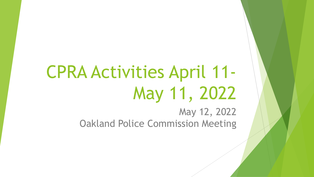# CPRA Activities April 11- May 11, 2022

May 12, 2022 Oakland Police Commission Meeting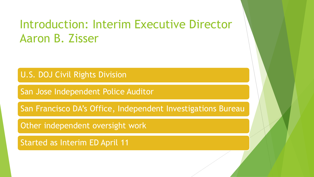# Introduction: Interim Executive Director Aaron B. Zisser

U.S. DOJ Civil Rights Division

San Jose Independent Police Auditor

San Francisco DA's Office, Independent Investigations Bureau

Other independent oversight work

Started as Interim ED April 11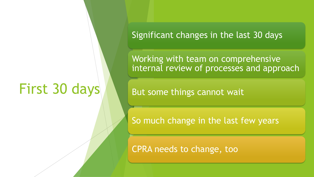# First 30 days

Significant changes in the last 30 days

Working with team on comprehensive internal review of processes and approach

But some things cannot wait

So much change in the last few years

CPRA needs to change, too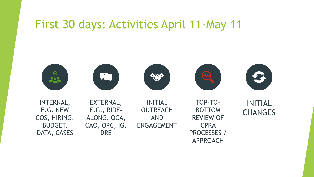# First 30 days: Activities April 11-May 11

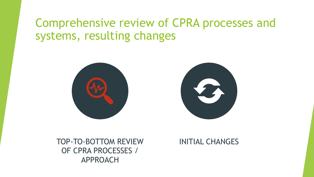# Comprehensive review of CPRA processes and systems, resulting changes





TOP-TO-BOTTOM REVIEW OF CPRA PROCESSES / APPROACH

#### INITIAL CHANGES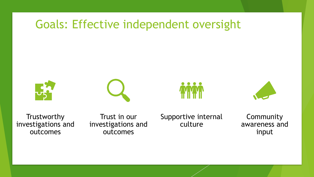# Goals: Effective independent oversight









**Trustworthy** investigations and outcomes

Trust in our investigations and outcomes

Supportive internal culture

**Community** awareness and input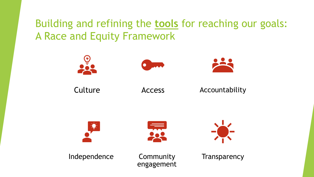# Building and refining the **tools** for reaching our goals: A Race and Equity Framework

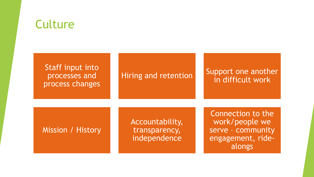# **Culture**

| Staff input into<br>processes and<br>process changes | Hiring and retention                             | Support one another<br>in difficult work                                                |
|------------------------------------------------------|--------------------------------------------------|-----------------------------------------------------------------------------------------|
| Mission / History                                    | Accountability,<br>transparency,<br>independence | Connection to the<br>work/people we<br>serve - community<br>engagement, ride-<br>alongs |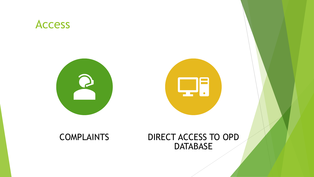## Access





## COMPLAINTS DIRECT ACCESS TO OPD **DATABASE**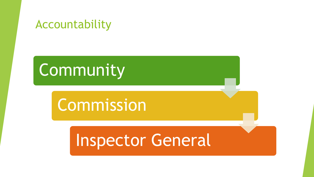# Accountability

# Community

# Commission

# Inspector General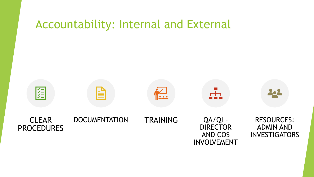# Accountability: Internal and External

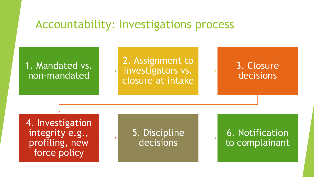## Accountability: Investigations process

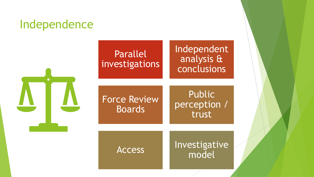# Independence



# Parallel investigations

Independent analysis & conclusions

Force Review Public perception / trust

Boards

Access Investigative model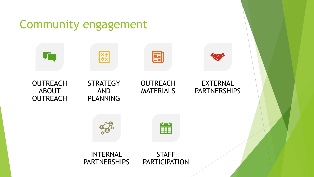#### Community engagement 團 To a **ASS**  $\sim$ **STRATEGY** EXTERNAL **OUTREACH OUTREACH PARTNERSHIPS** ABOUT AND MATERIALS **OUTREACH** PLANNING 當 INTERNAL **STAFF** PARTNERSHIPS **PARTICIPATION**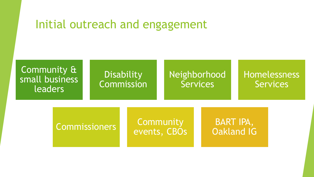# Initial outreach and engagement

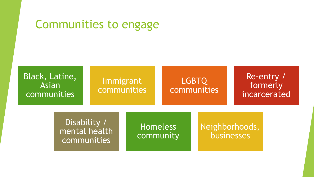# Communities to engage

#### Black, Latine, Asian communities

## Immigrant communities

## LGBTQ communities

#### Re-entry / formerly incarcerated

Disability / mental health communities

Homeless community

## Neighborhoods, businesses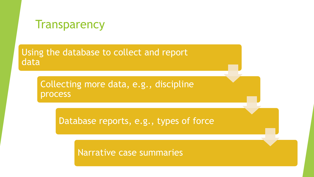

Using the database to collect and report data

> Collecting more data, e.g., discipline process

> > Database reports, e.g., types of force

Narrative case summaries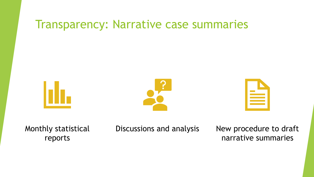# Transparency: Narrative case summaries





Monthly statistical reports

Discussions and analysis New procedure to draft

narrative summaries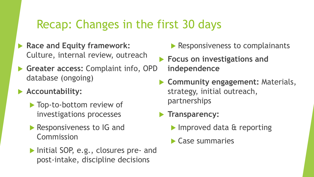# Recap: Changes in the first 30 days

- **Race and Equity framework:** Culture, internal review, outreach
- **Greater access:** Complaint info, OPD database (ongoing)

## **Accountability:**

- ▶ Top-to-bottom review of investigations processes
- Responsiveness to IG and Commission
- Initial SOP, e.g., closures pre- and post-intake, discipline decisions
- Responsiveness to complainants
- **Focus on investigations and independence**
- **Community engagement:** Materials, strategy, initial outreach, partnerships

## **Transparency:**

- Improved data & reporting
- Case summaries